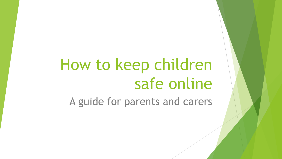# How to keep children safe online

A guide for parents and carers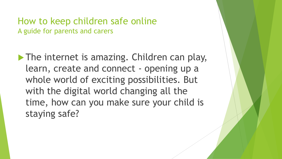The internet is amazing. Children can play, learn, create and connect - opening up a whole world of exciting possibilities. But with the digital world changing all the time, how can you make sure your child is staying safe?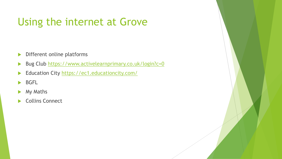## Using the internet at Grove

- Different online platforms
- Bug Club<https://www.activelearnprimary.co.uk/login?c=0>
- Education City <https://ec1.educationcity.com/>
- **BGFL**
- My Maths
- ▶ Collins Connect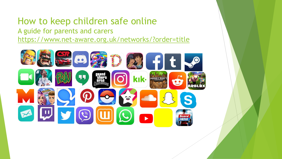#### How to keep children safe online A guide for parents and carers <https://www.net-aware.org.uk/networks/?order=title>

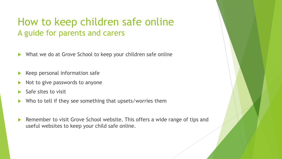- ▶ What we do at Grove School to keep your children safe online
- Keep personal information safe
- Not to give passwords to anyone
- Safe sites to visit
- Who to tell if they see something that upsets/worries them
- Remember to visit Grove School website. This offers a wide range of tips and useful websites to keep your child safe online.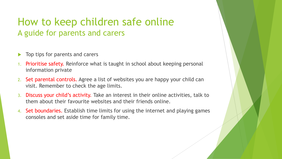- Top tips for parents and carers
- 1. Prioritise safety. Reinforce what is taught in school about keeping personal information private
- 2. Set parental controls. Agree a list of websites you are happy your child can visit. Remember to check the age limits.
- 3. Discuss your child's activity. Take an interest in their online activities, talk to them about their favourite websites and their friends online.
- 4. Set boundaries. Establish time limits for using the internet and playing games consoles and set aside time for family time.